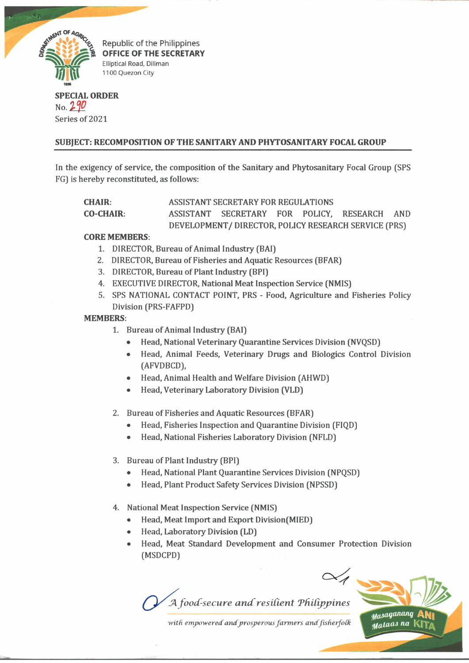

Republic of the Philippines OFFICE OF THE SECRETARY Elliptical Road, Diliman 1100 Quezon City

# **SPECIAL ORDER** No. *Ip* Series of 2021

# **SUBJECT: RECOMPOSITION OF THE SANITARY AND PHYTOSANITARY FOCAL GROUP**

In the exigency of service, the composition of the Sanitary and Phytosanitary Focal Group (SPS FG) is hereby reconstituted, as follows:

**CHAIR:** ASSISTANT SECRETARY FOR REGULATIONS

**CO-CHAIR:** ASSISTANT SECRETARY FOR POLICY, RESEARCH AND DEVELOPMENT/ DIRECTOR, POLICY RESEARCH SERVICE (PRS)

### **CORE MEMBERS:**

- 1. DIRECTOR, Bureau of Animal Industry (BAI)
- 2. DIRECTOR, Bureau of Fisheries and Aquatic Resources (BFAR)
- 3. DIRECTOR, Bureau of Plant Industry (BPI)
- 4. EXECUTIVE DIRECTOR, National Meat Inspection Service (NMIS)
- 5. SPS NATIONAL CONTACT POINT, PRS Food, Agriculture and Fisheries Policy Division (PRS-FAFPD)

# **MEMBERS:**

- 1. Bureau of Animal Industry (BAI)
	- Head, National Veterinary Quarantine Services Division (NVQSD)
	- Head, Animal Feeds, Veterinary Drugs and Biologies Control Division (AFVDBCD),
	- Head, Animal Health and Welfare Division (AHWD)
	- Head, Veterinary Laboratory Division (VLD)

2. Bureau of Fisheries and Aquatic Resources (BFAR)

- Head, Fisheries Inspection and Quarantine Division (FIQD)
- Head, National Fisheries Laboratory Division (NFLD)
- 3. Bureau of Plant Industry (BPI)
	- Head, National Plant Quarantine Services Division (NPQSD)
	- Head, Plant Product Safety Services Division (NPSSD)
- 4. National Meat Inspection Service (NMIS)
	- Head, Meat Import and Export Division(MIED)
	- Head, Laboratory Division (LD)
	- Head, Meat Standard Development and Consumer Protection Division (MSDCPD)



with empowered and prosperous farmers and fisherfolk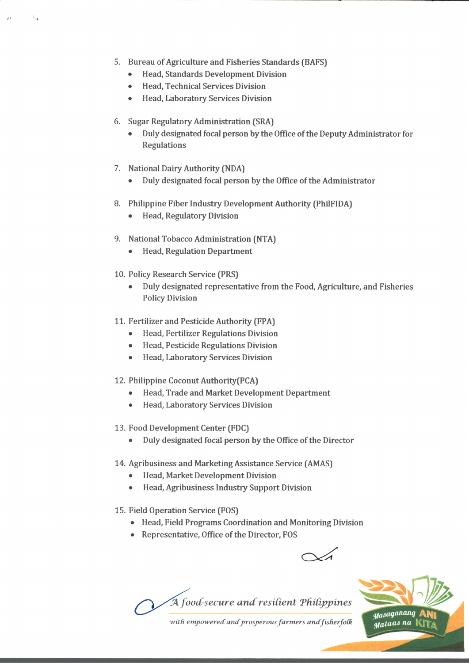- 5. Bureau of Agriculture and Fisheries Standards (BAFS)
	- Head, Standards Development Division
	- Head, Technical Services Division
	- Head, Laboratory Services Division
- 6. Sugar Regulatory Administration (SRA)
	- Duly designated focal person by the Office of the Deputy Administrator for Regulations
- 7. National Dairy Authority (NDA)
	- Duly designated focal person by the Office of the Administrator
- 8. Philippine Fiber Industry Development Authority (PhilFIDA)
	- Head, Regulatory Division
- 9. National Tobacco Administration (NTA)
	- Head, Regulation Department
- 10. Policy Research Service (PRS)
	- Duly designated representative from the Food, Agriculture, and Fisheries Policy Division
- 11. Fertilizer and Pesticide Authority (FPA)
	- Head, Fertilizer Regulations Division
	- Head, Pesticide Regulations Division
	- Head, Laboratory Services Division
- 12. Philippine Coconut Authority(PCA)
	- Head, Trade and Market Development Department
	- Head, Laboratory Services Division
- 13. Food Development Center (FDC)
	- Duly designated focal person by the Office of the Director
- 14. Agribusiness and Marketing Assistance Service (AMAS)
	- Head, Market Development Division
	- Head, Agribusiness Industry Support Division
- 15. Field Operation Service (FOS)
	- Head, Field Programs Coordination and Monitoring Division
	- Representative, Office of the Director, FOS

 $\sqrt{4}$ 

*A food-secure and resilient Philippines* 



with empowered and prosperous farmers and fisherfolk